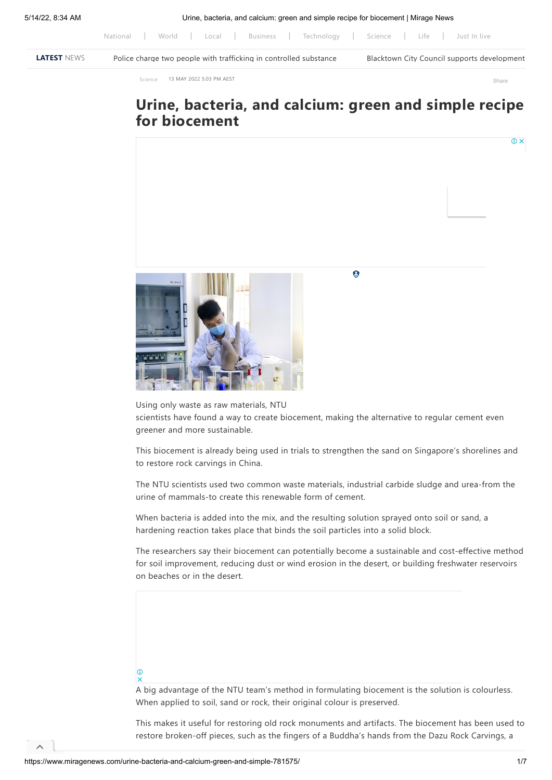[National](https://www.miragenews.com/category/national/) | [World](https://www.miragenews.com/category/world/) | [Local](https://www.miragenews.com/category/national/local/) | [Business](https://www.miragenews.com/category/business/) | [Technology](https://www.miragenews.com/category/technology/) | [Science](https://www.miragenews.com/category/science/) | [Life](https://www.miragenews.com/category/life/) | [Just In live](https://www.miragenews.com/archives/)

| LATEST NEWS | Police charge two people with trafficking in controlled substance | Blacktown City Council supports development |
|-------------|-------------------------------------------------------------------|---------------------------------------------|

[Science](https://www.miragenews.com/category/science/) 13 MAY 2022 5:03 PM AEST Share 13 MAY 2022 5:03 PM AEST

## **Urine, bacteria, and calcium: green and simple recipe for biocement**



Using only waste as raw materials, NTU

scientists have found a way to create biocement, making the alternative to regular cement even greener and more sustainable.

This biocement is already being used in trials to strengthen the sand on Singapore's shorelines and to restore rock carvings in China.

The NTU scientists used two common waste materials, industrial carbide sludge and urea-from the urine of mammals-to create this renewable form of cement.

When bacteria is added into the mix, and the resulting solution sprayed onto soil or sand, a hardening reaction takes place that binds the soil particles into a solid block.

The researchers say their biocement can potentially become a sustainable and cost-effective method for soil improvement, reducing dust or wind erosion in the desert, or building freshwater reservoirs on beaches or in the desert.

## $\omega$

 $\lambda$ 

A big advantage of the NTU team's method in formulating biocement is the solution is colourless. When applied to soil, sand or rock, their original colour is preserved.

This makes it useful for restoring old rock monuments and artifacts. The biocement has been used to restore broken-off pieces, such as the fingers of a Buddha's hands from the Dazu Rock Carvings, a